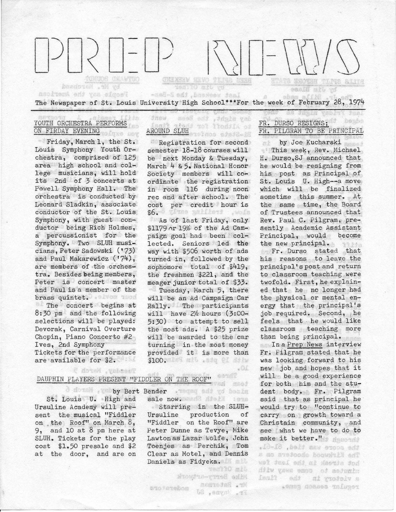**CHUCK CHANTOO CHIMENY NEVO TEMPA ANDR BITTS** basdoven and yd uy Jim Oilier easIff mit.

Last weekend, the BaBase The Newspaper of St. Louis University High School\*\*\*For the week of February 28, 1974

> AROUND SLUH TOT TIGHTER OF Registration for second semester 18-18 courses will be next Monday & Tuesday, March 4 & 5. National Honor Society members will coordinate the registration in room 116 during noon rec and after school. The cost per credit hour is \$6. (Itse antilers , wofe As of last Friday, only \$1179 nr 19% of the Ad Campaign goal had been collected. Seniors led the way with \$5o6 worth of ads turned in, followed by the sophomore total of \$419, the freshmen \$221, and the meager junior total of \$33. Tuesday, March 5, there will be an Ad Campaign Car Rally. The participants will have  $2\frac{h}{k}$  hours  $(3:00-$ 5:30) to attempt to sell the most ads. A \$25 prize will be awarded to the car turning in the most money provided it is more than \$100. The mil . add el dinw

asse night, the Bess

drow

#### YOUTH ORCHESTRA PERFORMS 1. Ja ON FIRDAY EVENING pigke sov

Reobient one you also a

Friday, March 1, the St. Louis Symphony Youth Orchestra, comprised of 125 area high school and college musicians, will hold its 2nd of 3 concerts at Powell Symphony Hall. The orchestra is conducted by Leonard Sladkin, associate conductor of the St. Louis Symphony, with guest conductor being Rich Holmes, a percussionist for the Symphony. Two SLUR musicians, Peter Sadowski ('73) and Paul Makarewicz ('74}, are members of the orchestra. Besides being members, Peter is concert master and Paul is a member of the brass quintet. always more The concert begins at 8:30 pm and the following selections will be played: Devorak, Carnival Overture Chopin, Piano Concerto #2 Ives, 2nd Symphony Tickets for the performance

are available for \$2.

Teesday, March 5

### DAUPHIN PLAYERS PRESENT "FIDDLER ON THE ROOF"

by Bert Bender St. Louis U. High and Ursuline Academy will present the musical "Fiddler on the Roof'' on March 8, 9, and 10 at 8 pm here at SLUR. Tickets for the play cost \$1.50 presale and \$2 at the door, and are on

sale now •. ·

ano tanebom

Starring in the SLUR-Ursuline production of "Fiddler on the Roof" are Peter Dunne as Tevye, Mike Lawton as Lazar Wolfe, John Toenjes as Perchik, Tom Clear as Motel, and Dennis Daniels as Fidyeka.

 $.01$ 

msad

eesnT

Jen'i0 mil

nearotal . W

L2 , suvoy . 21

Mic Berg-ortund

beabe FR. DURSO RESIGNS: FR. PILGRAM TO BE PRINCIPAL

by Joe Kucharski nk This week, Rev. Michael H. Durso,SJ announced that he would be resigning from his post as Principal *pf*  St. Louis U. High--a move which will be finalized sometime this summer. At the same time, the Board of Trustees announced that Rev. Paul C. Pilgram, presently Academic Assistant<br>Principal. would become Principal, would the new principal. 99 Ada Fr. Durso stated that his reasons to leave the

principal's post and return to classroom teaching were twofold. First, he explained that he no longer had the physical or mental energy that the principal's job required. Second, he feels that he would like classroom teaching more than being principal.

In a Prep News interview Fr. Pilgram stated that he was looking ·forward to. his new job and hopes that it will be a good experience for both him and the student body. Fr. Pilgram said that as principal he would try . to "continue to carry on growth toward a Christain community, and see what we have to do to make it better." the score was tied. 61-61. s no svejoode boowwith ent wel street end in the last fed Hilw yaws emoc of asfunin lanti ads ni grodolv s . . Smag doases infuget